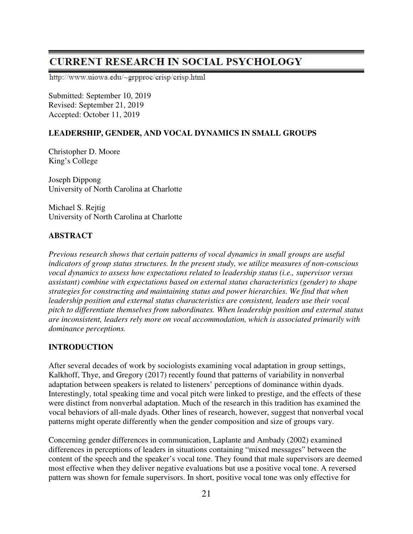# **CURRENT RESEARCH IN SOCIAL PSYCHOLOGY**

http://www.uiowa.edu/~grpproc/crisp/crisp.html

Submitted: September 10, 2019 Revised: September 21, 2019 Accepted: October 11, 2019

# **LEADERSHIP, GENDER, AND VOCAL DYNAMICS IN SMALL GROUPS**

Christopher D. Moore King's College

Joseph Dippong University of North Carolina at Charlotte

Michael S. Rejtig University of North Carolina at Charlotte

# **ABSTRACT**

*Previous research shows that certain patterns of vocal dynamics in small groups are useful indicators of group status structures. In the present study, we utilize measures of non-conscious vocal dynamics to assess how expectations related to leadership status (i.e., supervisor versus assistant) combine with expectations based on external status characteristics (gender) to shape strategies for constructing and maintaining status and power hierarchies. We find that when leadership position and external status characteristics are consistent, leaders use their vocal pitch to differentiate themselves from subordinates. When leadership position and external status are inconsistent, leaders rely more on vocal accommodation, which is associated primarily with dominance perceptions.* 

# **INTRODUCTION**

After several decades of work by sociologists examining vocal adaptation in group settings, Kalkhoff, Thye, and Gregory (2017) recently found that patterns of variability in nonverbal adaptation between speakers is related to listeners' perceptions of dominance within dyads. Interestingly, total speaking time and vocal pitch were linked to prestige, and the effects of these were distinct from nonverbal adaptation. Much of the research in this tradition has examined the vocal behaviors of all-male dyads. Other lines of research, however, suggest that nonverbal vocal patterns might operate differently when the gender composition and size of groups vary.

Concerning gender differences in communication, Laplante and Ambady (2002) examined differences in perceptions of leaders in situations containing "mixed messages" between the content of the speech and the speaker's vocal tone. They found that male supervisors are deemed most effective when they deliver negative evaluations but use a positive vocal tone. A reversed pattern was shown for female supervisors. In short, positive vocal tone was only effective for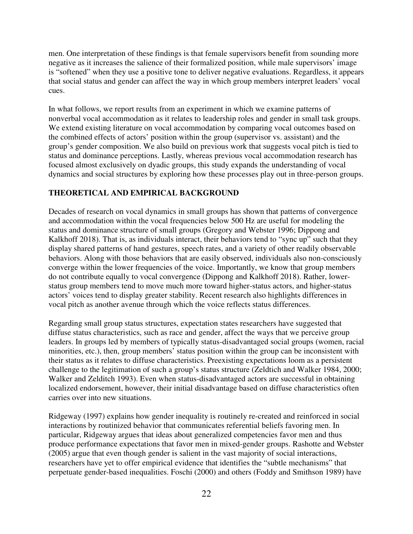men. One interpretation of these findings is that female supervisors benefit from sounding more negative as it increases the salience of their formalized position, while male supervisors' image is "softened" when they use a positive tone to deliver negative evaluations. Regardless, it appears that social status and gender can affect the way in which group members interpret leaders' vocal cues.

In what follows, we report results from an experiment in which we examine patterns of nonverbal vocal accommodation as it relates to leadership roles and gender in small task groups. We extend existing literature on vocal accommodation by comparing vocal outcomes based on the combined effects of actors' position within the group (supervisor vs. assistant) and the group's gender composition. We also build on previous work that suggests vocal pitch is tied to status and dominance perceptions. Lastly, whereas previous vocal accommodation research has focused almost exclusively on dyadic groups, this study expands the understanding of vocal dynamics and social structures by exploring how these processes play out in three-person groups.

### **THEORETICAL AND EMPIRICAL BACKGROUND**

Decades of research on vocal dynamics in small groups has shown that patterns of convergence and accommodation within the vocal frequencies below 500 Hz are useful for modeling the status and dominance structure of small groups (Gregory and Webster 1996; Dippong and Kalkhoff 2018). That is, as individuals interact, their behaviors tend to "sync up" such that they display shared patterns of hand gestures, speech rates, and a variety of other readily observable behaviors. Along with those behaviors that are easily observed, individuals also non-consciously converge within the lower frequencies of the voice. Importantly, we know that group members do not contribute equally to vocal convergence (Dippong and Kalkhoff 2018). Rather, lowerstatus group members tend to move much more toward higher-status actors, and higher-status actors' voices tend to display greater stability. Recent research also highlights differences in vocal pitch as another avenue through which the voice reflects status differences.

Regarding small group status structures, expectation states researchers have suggested that diffuse status characteristics, such as race and gender, affect the ways that we perceive group leaders. In groups led by members of typically status-disadvantaged social groups (women, racial minorities, etc.), then, group members' status position within the group can be inconsistent with their status as it relates to diffuse characteristics. Preexisting expectations loom as a persistent challenge to the legitimation of such a group's status structure (Zeldtich and Walker 1984, 2000; Walker and Zelditch 1993). Even when status-disadvantaged actors are successful in obtaining localized endorsement, however, their initial disadvantage based on diffuse characteristics often carries over into new situations.

Ridgeway (1997) explains how gender inequality is routinely re-created and reinforced in social interactions by routinized behavior that communicates referential beliefs favoring men. In particular, Ridgeway argues that ideas about generalized competencies favor men and thus produce performance expectations that favor men in mixed-gender groups. Rashotte and Webster (2005) argue that even though gender is salient in the vast majority of social interactions, researchers have yet to offer empirical evidence that identifies the "subtle mechanisms" that perpetuate gender-based inequalities. Foschi (2000) and others (Foddy and Smithson 1989) have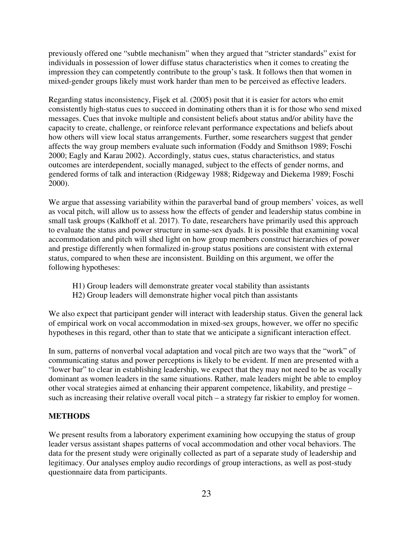previously offered one "subtle mechanism" when they argued that "stricter standards" exist for individuals in possession of lower diffuse status characteristics when it comes to creating the impression they can competently contribute to the group's task. It follows then that women in mixed-gender groups likely must work harder than men to be perceived as effective leaders.

Regarding status inconsistency, Fişek et al. (2005) posit that it is easier for actors who emit consistently high-status cues to succeed in dominating others than it is for those who send mixed messages. Cues that invoke multiple and consistent beliefs about status and/or ability have the capacity to create, challenge, or reinforce relevant performance expectations and beliefs about how others will view local status arrangements. Further, some researchers suggest that gender affects the way group members evaluate such information (Foddy and Smithson 1989; Foschi 2000; Eagly and Karau 2002). Accordingly, status cues, status characteristics, and status outcomes are interdependent, socially managed, subject to the effects of gender norms, and gendered forms of talk and interaction (Ridgeway 1988; Ridgeway and Diekema 1989; Foschi 2000).

We argue that assessing variability within the paraverbal band of group members' voices, as well as vocal pitch, will allow us to assess how the effects of gender and leadership status combine in small task groups (Kalkhoff et al. 2017). To date, researchers have primarily used this approach to evaluate the status and power structure in same-sex dyads. It is possible that examining vocal accommodation and pitch will shed light on how group members construct hierarchies of power and prestige differently when formalized in-group status positions are consistent with external status, compared to when these are inconsistent. Building on this argument, we offer the following hypotheses:

- H1) Group leaders will demonstrate greater vocal stability than assistants
- H2) Group leaders will demonstrate higher vocal pitch than assistants

We also expect that participant gender will interact with leadership status. Given the general lack of empirical work on vocal accommodation in mixed-sex groups, however, we offer no specific hypotheses in this regard, other than to state that we anticipate a significant interaction effect.

In sum, patterns of nonverbal vocal adaptation and vocal pitch are two ways that the "work" of communicating status and power perceptions is likely to be evident. If men are presented with a "lower bar" to clear in establishing leadership, we expect that they may not need to be as vocally dominant as women leaders in the same situations. Rather, male leaders might be able to employ other vocal strategies aimed at enhancing their apparent competence, likability, and prestige – such as increasing their relative overall vocal pitch – a strategy far riskier to employ for women.

### **METHODS**

We present results from a laboratory experiment examining how occupying the status of group leader versus assistant shapes patterns of vocal accommodation and other vocal behaviors. The data for the present study were originally collected as part of a separate study of leadership and legitimacy. Our analyses employ audio recordings of group interactions, as well as post-study questionnaire data from participants.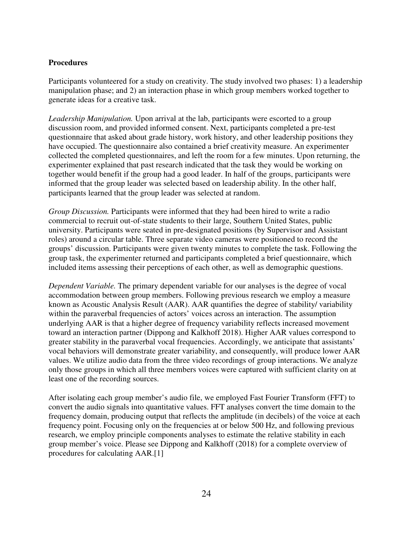### **Procedures**

Participants volunteered for a study on creativity. The study involved two phases: 1) a leadership manipulation phase; and 2) an interaction phase in which group members worked together to generate ideas for a creative task.

*Leadership Manipulation.* Upon arrival at the lab, participants were escorted to a group discussion room, and provided informed consent. Next, participants completed a pre-test questionnaire that asked about grade history, work history, and other leadership positions they have occupied. The questionnaire also contained a brief creativity measure. An experimenter collected the completed questionnaires, and left the room for a few minutes. Upon returning, the experimenter explained that past research indicated that the task they would be working on together would benefit if the group had a good leader. In half of the groups, participants were informed that the group leader was selected based on leadership ability. In the other half, participants learned that the group leader was selected at random.

*Group Discussion.* Participants were informed that they had been hired to write a radio commercial to recruit out-of-state students to their large, Southern United States, public university. Participants were seated in pre-designated positions (by Supervisor and Assistant roles) around a circular table. Three separate video cameras were positioned to record the groups' discussion. Participants were given twenty minutes to complete the task. Following the group task, the experimenter returned and participants completed a brief questionnaire, which included items assessing their perceptions of each other, as well as demographic questions.

*Dependent Variable.* The primary dependent variable for our analyses is the degree of vocal accommodation between group members. Following previous research we employ a measure known as Acoustic Analysis Result (AAR). AAR quantifies the degree of stability/ variability within the paraverbal frequencies of actors' voices across an interaction. The assumption underlying AAR is that a higher degree of frequency variability reflects increased movement toward an interaction partner (Dippong and Kalkhoff 2018). Higher AAR values correspond to greater stability in the paraverbal vocal frequencies. Accordingly, we anticipate that assistants' vocal behaviors will demonstrate greater variability, and consequently, will produce lower AAR values. We utilize audio data from the three video recordings of group interactions. We analyze only those groups in which all three members voices were captured with sufficient clarity on at least one of the recording sources.

After isolating each group member's audio file, we employed Fast Fourier Transform (FFT) to convert the audio signals into quantitative values. FFT analyses convert the time domain to the frequency domain, producing output that reflects the amplitude (in decibels) of the voice at each frequency point. Focusing only on the frequencies at or below 500 Hz, and following previous research, we employ principle components analyses to estimate the relative stability in each group member's voice. Please see Dippong and Kalkhoff (2018) for a complete overview of procedures for calculating AAR.[1]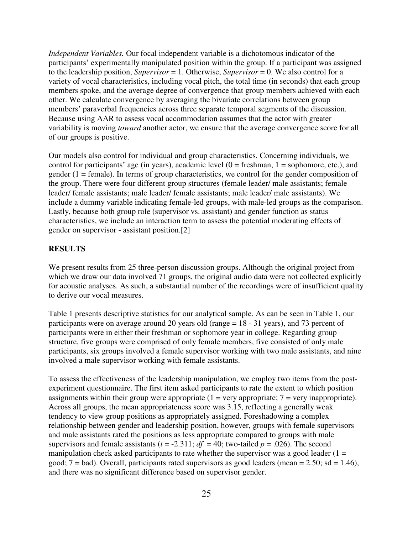*Independent Variables.* Our focal independent variable is a dichotomous indicator of the participants' experimentally manipulated position within the group. If a participant was assigned to the leadership position, *Supervisor* = 1. Otherwise, *Supervisor* = 0. We also control for a variety of vocal characteristics, including vocal pitch, the total time (in seconds) that each group members spoke, and the average degree of convergence that group members achieved with each other. We calculate convergence by averaging the bivariate correlations between group members' paraverbal frequencies across three separate temporal segments of the discussion. Because using AAR to assess vocal accommodation assumes that the actor with greater variability is moving *toward* another actor, we ensure that the average convergence score for all of our groups is positive.

Our models also control for individual and group characteristics. Concerning individuals, we control for participants' age (in years), academic level  $(0 =$  freshman,  $1 =$  sophomore, etc.), and gender  $(1 = \text{female})$ . In terms of group characteristics, we control for the gender composition of the group. There were four different group structures (female leader/ male assistants; female leader/ female assistants; male leader/ female assistants; male leader/ male assistants). We include a dummy variable indicating female-led groups, with male-led groups as the comparison. Lastly, because both group role (supervisor vs. assistant) and gender function as status characteristics, we include an interaction term to assess the potential moderating effects of gender on supervisor - assistant position.[2]

#### **RESULTS**

We present results from 25 three-person discussion groups. Although the original project from which we draw our data involved 71 groups, the original audio data were not collected explicitly for acoustic analyses. As such, a substantial number of the recordings were of insufficient quality to derive our vocal measures.

Table 1 presents descriptive statistics for our analytical sample. As can be seen in Table 1, our participants were on average around 20 years old (range = 18 - 31 years), and 73 percent of participants were in either their freshman or sophomore year in college. Regarding group structure, five groups were comprised of only female members, five consisted of only male participants, six groups involved a female supervisor working with two male assistants, and nine involved a male supervisor working with female assistants.

To assess the effectiveness of the leadership manipulation, we employ two items from the postexperiment questionnaire. The first item asked participants to rate the extent to which position assignments within their group were appropriate  $(1 = \text{very appropriate}; 7 = \text{very inappropriate})$ . Across all groups, the mean appropriateness score was 3.15, reflecting a generally weak tendency to view group positions as appropriately assigned. Foreshadowing a complex relationship between gender and leadership position, however, groups with female supervisors and male assistants rated the positions as less appropriate compared to groups with male supervisors and female assistants ( $t = -2.311$ ;  $df = 40$ ; two-tailed  $p = .026$ ). The second manipulation check asked participants to rate whether the supervisor was a good leader  $(1 =$ good;  $7 = bad$ ). Overall, participants rated supervisors as good leaders (mean = 2.50; sd = 1.46), and there was no significant difference based on supervisor gender.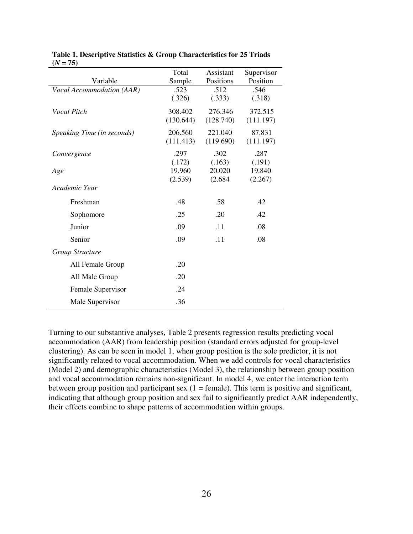|                            | Total     | Assistant | Supervisor |
|----------------------------|-----------|-----------|------------|
| Variable                   | Sample    | Positions | Position   |
| Vocal Accommodation (AAR)  | .523      | .512      | .546       |
|                            | (.326)    | (.333)    | (.318)     |
| Vocal Pitch                | 308.402   | 276.346   | 372.515    |
|                            | (130.644) | (128.740) | (111.197)  |
|                            |           |           |            |
| Speaking Time (in seconds) | 206.560   | 221.040   | 87.831     |
|                            | (111.413) | (119.690) | (111.197)  |
| Convergence                | .297      | .302      | .287       |
|                            | (.172)    | (.163)    | (.191)     |
| Age                        | 19.960    | 20.020    | 19.840     |
|                            | (2.539)   | (2.684)   | (2.267)    |
| Academic Year              |           |           |            |
| Freshman                   | .48       | .58       | .42        |
| Sophomore                  | .25       | .20       | .42        |
| Junior                     | .09       | .11       | .08        |
| Senior                     | .09       | .11       | .08        |
| Group Structure            |           |           |            |
| All Female Group           | .20       |           |            |
| All Male Group             | .20       |           |            |
| Female Supervisor          | .24       |           |            |
| Male Supervisor            | .36       |           |            |

|            | Table 1. Descriptive Statistics & Group Characteristics for 25 Triads |
|------------|-----------------------------------------------------------------------|
| $(N = 75)$ |                                                                       |

Turning to our substantive analyses, Table 2 presents regression results predicting vocal accommodation (AAR) from leadership position (standard errors adjusted for group-level clustering). As can be seen in model 1, when group position is the sole predictor, it is not significantly related to vocal accommodation. When we add controls for vocal characteristics (Model 2) and demographic characteristics (Model 3), the relationship between group position and vocal accommodation remains non-significant. In model 4, we enter the interaction term between group position and participant sex  $(1 = \text{female})$ . This term is positive and significant, indicating that although group position and sex fail to significantly predict AAR independently, their effects combine to shape patterns of accommodation within groups.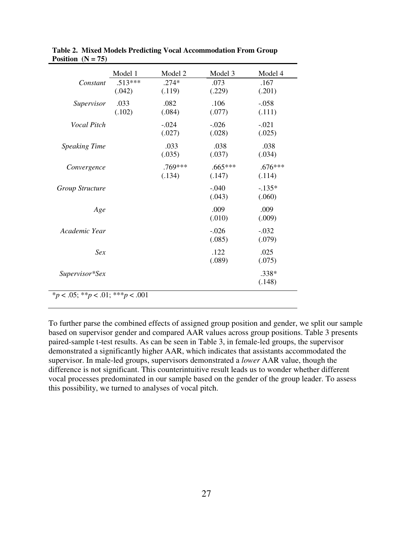|                        | Model 1             | Model 2             | Model 3             | Model 4             |
|------------------------|---------------------|---------------------|---------------------|---------------------|
| Constant               | $.513***$<br>(.042) | $.274*$<br>(.119)   | .073<br>(.229)      | .167<br>(.201)      |
| Supervisor             | .033<br>(.102)      | .082<br>(.084)      | .106<br>(.077)      | $-.058$<br>(.111)   |
| Vocal Pitch            |                     | $-.024$<br>(.027)   | $-.026$<br>(.028)   | $-.021$<br>(.025)   |
| <b>Speaking Time</b>   |                     | .033<br>(.035)      | .038<br>(.037)      | .038<br>(.034)      |
| Convergence            |                     | $.769***$<br>(.134) | $.665***$<br>(.147) | $.676***$<br>(.114) |
| <b>Group Structure</b> |                     |                     | $-.040$<br>(.043)   | $-.135*$<br>(.060)  |
| Age                    |                     |                     | .009<br>(.010)      | .009<br>(.009)      |
| Academic Year          |                     |                     | $-.026$<br>(.085)   | $-.032$<br>(.079)   |
| Sex                    |                     |                     | .122<br>(.089)      | .025<br>(.075)      |
| Supervisor*Sex         |                     |                     |                     | .338*<br>(.148)     |

| Table 2. Mixed Models Predicting Vocal Accommodation From Group |
|-----------------------------------------------------------------|
| Position $(N = 75)$                                             |

To further parse the combined effects of assigned group position and gender, we split our sample based on supervisor gender and compared AAR values across group positions. Table 3 presents paired-sample t-test results. As can be seen in Table 3, in female-led groups, the supervisor demonstrated a significantly higher AAR, which indicates that assistants accommodated the supervisor. In male-led groups, supervisors demonstrated a *lower* AAR value, though the difference is not significant. This counterintuitive result leads us to wonder whether different vocal processes predominated in our sample based on the gender of the group leader. To assess this possibility, we turned to analyses of vocal pitch.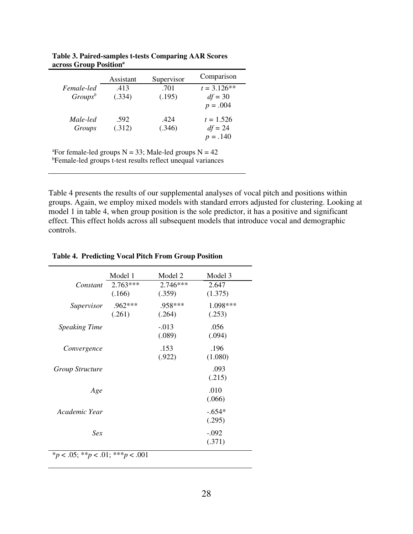|            | Assistant | Supervisor | Comparison    |
|------------|-----------|------------|---------------|
| Female-led | .413      | .701       | $t = 3.126**$ |
| $Groups^b$ | (.334)    | (.195)     | $df = 30$     |
|            |           |            | $p = .004$    |
| Male-led   | .592      | .424       | $t = 1.526$   |
| Groups     | (.312)    | (.346)     | $df = 24$     |
|            |           |            | $p = .140$    |

**Table 3. Paired-samples t-tests Comparing AAR Scores across Group Position<sup>a</sup>**

<sup>a</sup>For female-led groups  $N = 33$ ; Male-led groups  $N = 42$ 

**bFemale-led groups t-test results reflect unequal variances** 

Table 4 presents the results of our supplemental analyses of vocal pitch and positions within groups. Again, we employ mixed models with standard errors adjusted for clustering. Looking at model 1 in table 4, when group position is the sole predictor, it has a positive and significant effect. This effect holds across all subsequent models that introduce vocal and demographic controls.

|                        | Model 1              | Model 2              | Model 3            |
|------------------------|----------------------|----------------------|--------------------|
| Constant               | $2.763***$<br>(.166) | $2.746***$<br>(.359) | 2.647<br>(1.375)   |
| Supervisor             | $.962***$<br>(.261)  | .958***<br>(.264)    | 1.098***<br>(.253) |
| <b>Speaking Time</b>   |                      | $-0.013$<br>(.089)   | .056<br>(.094)     |
| Convergence            |                      | .153<br>(.922)       | .196<br>(1.080)    |
| <b>Group Structure</b> |                      |                      | .093<br>(.215)     |
| Age                    |                      |                      | .010<br>(.066)     |
| Academic Year          |                      |                      | $-.654*$<br>(.295) |
| Sex                    |                      |                      | $-.092$<br>(.371)  |

**Table 4. Predicting Vocal Pitch From Group Position**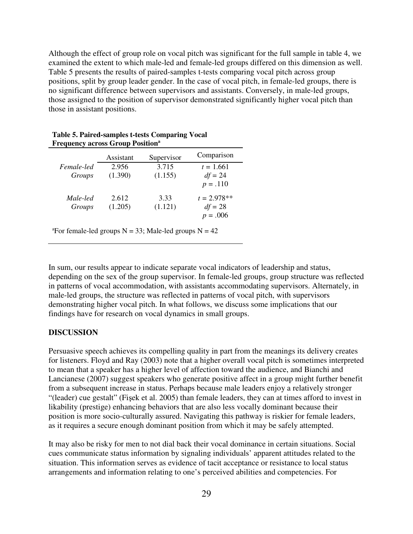Although the effect of group role on vocal pitch was significant for the full sample in table 4, we examined the extent to which male-led and female-led groups differed on this dimension as well. Table 5 presents the results of paired-samples t-tests comparing vocal pitch across group positions, split by group leader gender. In the case of vocal pitch, in female-led groups, there is no significant difference between supervisors and assistants. Conversely, in male-led groups, those assigned to the position of supervisor demonstrated significantly higher vocal pitch than those in assistant positions.

| r requency across Group rosmon |           |            |               |  |
|--------------------------------|-----------|------------|---------------|--|
|                                | Assistant | Supervisor | Comparison    |  |
| Female-led                     | 2.956     | 3.715      | $t = 1.661$   |  |
| Groups                         | (1.390)   | (1.155)    | $df = 24$     |  |
|                                |           |            | $p = .110$    |  |
| Male-led                       | 2.612     | 3.33       | $t = 2.978**$ |  |
| Groups                         | (1.205)   | (1.121)    | $df = 28$     |  |
|                                |           |            | $p = .006$    |  |

**Table 5. Paired-samples t-tests Comparing Vocal Frequency across Group Position<sup>a</sup>**

<sup>a</sup>For female-led groups  $N = 33$ ; Male-led groups  $N = 42$ 

In sum, our results appear to indicate separate vocal indicators of leadership and status, depending on the sex of the group supervisor. In female-led groups, group structure was reflected in patterns of vocal accommodation, with assistants accommodating supervisors. Alternately, in male-led groups, the structure was reflected in patterns of vocal pitch, with supervisors demonstrating higher vocal pitch. In what follows, we discuss some implications that our findings have for research on vocal dynamics in small groups.

### **DISCUSSION**

Persuasive speech achieves its compelling quality in part from the meanings its delivery creates for listeners. Floyd and Ray (2003) note that a higher overall vocal pitch is sometimes interpreted to mean that a speaker has a higher level of affection toward the audience, and Bianchi and Lancianese (2007) suggest speakers who generate positive affect in a group might further benefit from a subsequent increase in status. Perhaps because male leaders enjoy a relatively stronger "(leader) cue gestalt" (Fişek et al. 2005) than female leaders, they can at times afford to invest in likability (prestige) enhancing behaviors that are also less vocally dominant because their position is more socio-culturally assured. Navigating this pathway is riskier for female leaders, as it requires a secure enough dominant position from which it may be safely attempted.

It may also be risky for men to not dial back their vocal dominance in certain situations. Social cues communicate status information by signaling individuals' apparent attitudes related to the situation. This information serves as evidence of tacit acceptance or resistance to local status arrangements and information relating to one's perceived abilities and competencies. For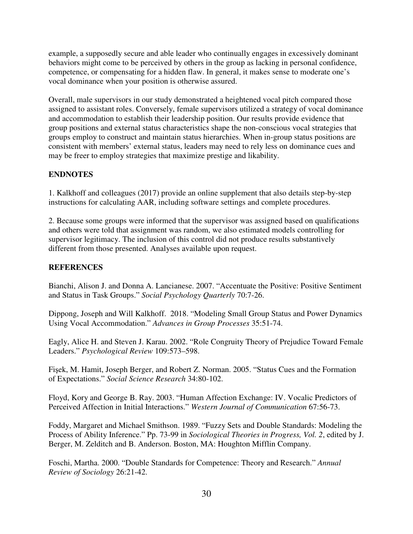example, a supposedly secure and able leader who continually engages in excessively dominant behaviors might come to be perceived by others in the group as lacking in personal confidence, competence, or compensating for a hidden flaw. In general, it makes sense to moderate one's vocal dominance when your position is otherwise assured.

Overall, male supervisors in our study demonstrated a heightened vocal pitch compared those assigned to assistant roles. Conversely, female supervisors utilized a strategy of vocal dominance and accommodation to establish their leadership position. Our results provide evidence that group positions and external status characteristics shape the non-conscious vocal strategies that groups employ to construct and maintain status hierarchies. When in-group status positions are consistent with members' external status, leaders may need to rely less on dominance cues and may be freer to employ strategies that maximize prestige and likability.

# **ENDNOTES**

1. Kalkhoff and colleagues (2017) provide an online supplement that also details step-by-step instructions for calculating AAR, including software settings and complete procedures.

2. Because some groups were informed that the supervisor was assigned based on qualifications and others were told that assignment was random, we also estimated models controlling for supervisor legitimacy. The inclusion of this control did not produce results substantively different from those presented. Analyses available upon request.

# **REFERENCES**

Bianchi, Alison J. and Donna A. Lancianese. 2007. "Accentuate the Positive: Positive Sentiment and Status in Task Groups." *Social Psychology Quarterly* 70:7-26.

Dippong, Joseph and Will Kalkhoff. 2018. "Modeling Small Group Status and Power Dynamics Using Vocal Accommodation." *Advances in Group Processes* 35:51-74.

Eagly, Alice H. and Steven J. Karau. 2002. "Role Congruity Theory of Prejudice Toward Female Leaders." *Psychological Review* 109:573–598.

Fişek, M. Hamit, Joseph Berger, and Robert Z. Norman. 2005. "Status Cues and the Formation of Expectations." *Social Science Research* 34:80-102.

Floyd, Kory and George B. Ray. 2003. "Human Affection Exchange: IV. Vocalic Predictors of Perceived Affection in Initial Interactions." *Western Journal of Communication* 67:56-73.

Foddy, Margaret and Michael Smithson. 1989. "Fuzzy Sets and Double Standards: Modeling the Process of Ability Inference." Pp. 73-99 in *Sociological Theories in Progress, Vol. 2*, edited by J. Berger, M. Zelditch and B. Anderson. Boston, MA: Houghton Mifflin Company.

Foschi, Martha. 2000. "Double Standards for Competence: Theory and Research." *Annual Review of Sociology* 26:21-42.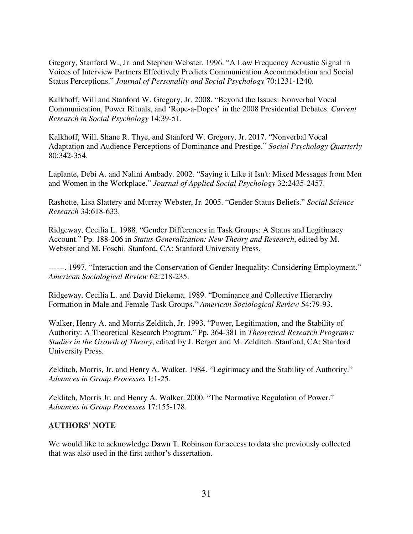Gregory, Stanford W., Jr. and Stephen Webster. 1996. "A Low Frequency Acoustic Signal in Voices of Interview Partners Effectively Predicts Communication Accommodation and Social Status Perceptions." *Journal of Personality and Social Psychology* 70:1231-1240.

Kalkhoff, Will and Stanford W. Gregory, Jr. 2008. "Beyond the Issues: Nonverbal Vocal Communication, Power Rituals, and 'Rope-a-Dopes' in the 2008 Presidential Debates. *Current Research in Social Psychology* 14:39-51.

Kalkhoff, Will, Shane R. Thye, and Stanford W. Gregory, Jr. 2017. "Nonverbal Vocal Adaptation and Audience Perceptions of Dominance and Prestige." *Social Psychology Quarterly* 80:342-354.

Laplante, Debi A. and Nalini Ambady. 2002. "Saying it Like it Isn't: Mixed Messages from Men and Women in the Workplace." *Journal of Applied Social Psychology* 32:2435-2457.

Rashotte, Lisa Slattery and Murray Webster, Jr. 2005. "Gender Status Beliefs." *Social Science Research* 34:618-633.

Ridgeway, Cecilia L. 1988. "Gender Differences in Task Groups: A Status and Legitimacy Account." Pp. 188-206 in *Status Generalization: New Theory and Research*, edited by M. Webster and M. Foschi. Stanford, CA: Stanford University Press.

------. 1997. "Interaction and the Conservation of Gender Inequality: Considering Employment." *American Sociological Review* 62:218-235.

Ridgeway, Cecilia L. and David Diekema. 1989. "Dominance and Collective Hierarchy Formation in Male and Female Task Groups." *American Sociological Review* 54:79-93.

Walker, Henry A. and Morris Zelditch, Jr. 1993. "Power, Legitimation, and the Stability of Authority: A Theoretical Research Program." Pp. 364-381 in *Theoretical Research Programs: Studies in the Growth of Theory*, edited by J. Berger and M. Zelditch. Stanford, CA: Stanford University Press.

Zelditch, Morris, Jr. and Henry A. Walker. 1984. "Legitimacy and the Stability of Authority." *Advances in Group Processes* 1:1-25.

Zelditch, Morris Jr. and Henry A. Walker. 2000. "The Normative Regulation of Power." *Advances in Group Processes* 17:155-178.

### **AUTHORS' NOTE**

We would like to acknowledge Dawn T. Robinson for access to data she previously collected that was also used in the first author's dissertation.